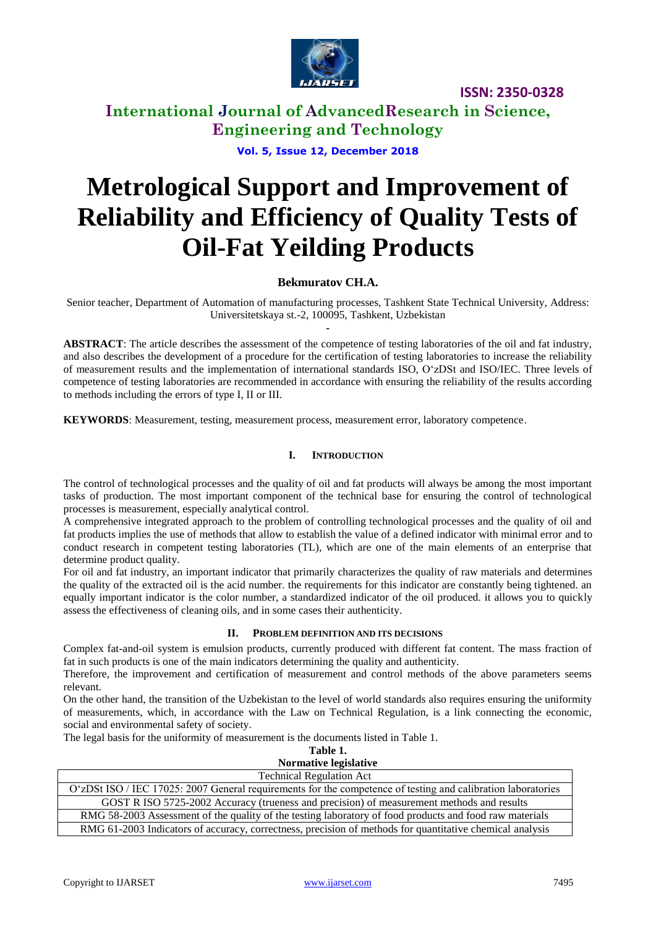

**International Journal of AdvancedResearch in Science, Engineering and Technology**

**Vol. 5, Issue 12, December 2018**

# **Metrological Support and Improvement of Reliability and Efficiency of Quality Tests of Oil-Fat Yeilding Products**

### **Bekmuratov CH.A.**

Senior teacher, Department of Automation of manufacturing processes, Tashkent State Technical University, Address: Universitetskaya st.-2, 100095, Tashkent, Uzbekistan **-**

**ABSTRACT**: The article describes the assessment of the competence of testing laboratories of the oil and fat industry, and also describes the development of a procedure for the certification of testing laboratories to increase the reliability of measurement results and the implementation of international standards ISO, O'zDSt and ISO/IEC. Three levels of competence of testing laboratories are recommended in accordance with ensuring the reliability of the results according to methods including the errors of type I, II or III.

**KEYWORDS**: Measurement, testing, measurement process, measurement error, laboratory competence.

### **I. INTRODUCTION**

The control of technological processes and the quality of oil and fat products will always be among the most important tasks of production. The most important component of the technical base for ensuring the control of technological processes is measurement, especially analytical control.

A comprehensive integrated approach to the problem of controlling technological processes and the quality of oil and fat products implies the use of methods that allow to establish the value of a defined indicator with minimal error and to conduct research in competent testing laboratories (TL), which are one of the main elements of an enterprise that determine product quality.

For oil and fat industry, an important indicator that primarily characterizes the quality of raw materials and determines the quality of the extracted oil is the acid number. the requirements for this indicator are constantly being tightened. an equally important indicator is the color number, a standardized indicator of the oil produced. it allows you to quickly assess the effectiveness of cleaning oils, and in some cases their authenticity.

### **II. PROBLEM DEFINITION AND ITS DECISIONS**

Complex fat-and-oil system is emulsion products, currently produced with different fat content. The mass fraction of fat in such products is one of the main indicators determining the quality and authenticity.

Therefore, the improvement and certification of measurement and control methods of the above parameters seems relevant.

On the other hand, the transition of the Uzbekistan to the level of world standards also requires ensuring the uniformity of measurements, which, in accordance with the Law on Technical Regulation, is a link connecting the economic, social and environmental safety of society.

The legal basis for the uniformity of measurement is the documents listed in Table 1.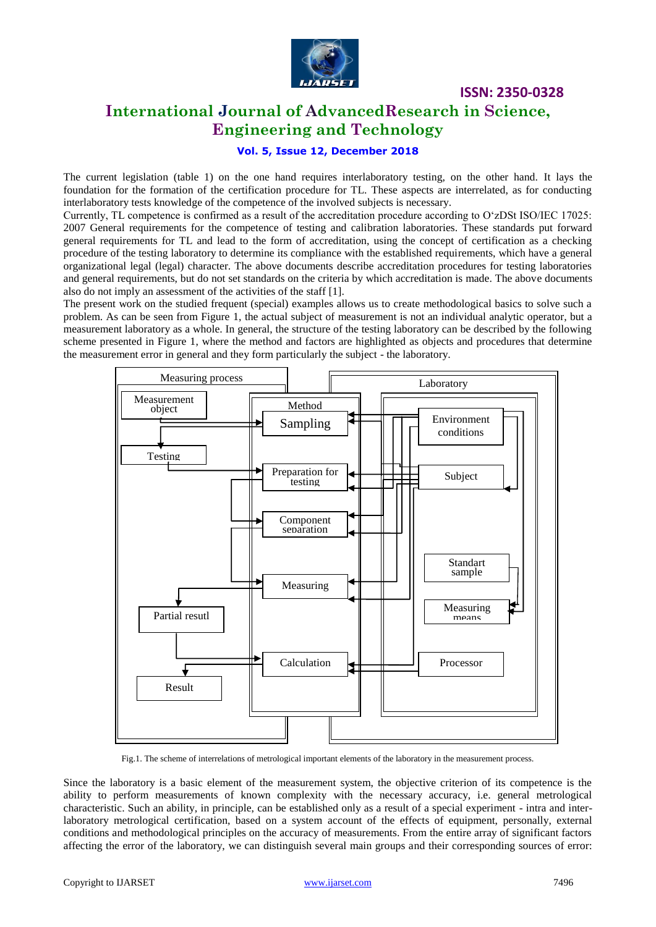

### **International Journal of AdvancedResearch in Science, Engineering and Technology**

### **Vol. 5, Issue 12, December 2018**

The current legislation (table 1) on the one hand requires interlaboratory testing, on the other hand. It lays the foundation for the formation of the certification procedure for TL. These aspects are interrelated, as for conducting interlaboratory tests knowledge of the competence of the involved subjects is necessary.

Currently, TL competence is confirmed as a result of the accreditation procedure according to O'zDSt ISO/IEC 17025: 2007 General requirements for the competence of testing and calibration laboratories. These standards put forward general requirements for TL and lead to the form of accreditation, using the concept of certification as a checking procedure of the testing laboratory to determine its compliance with the established requirements, which have a general organizational legal (legal) character. The above documents describe accreditation procedures for testing laboratories and general requirements, but do not set standards on the criteria by which accreditation is made. The above documents also do not imply an assessment of the activities of the staff [1].

The present work on the studied frequent (special) examples allows us to create methodological basics to solve such a problem. As can be seen from Figure 1, the actual subject of measurement is not an individual analytic operator, but a measurement laboratory as a whole. In general, the structure of the testing laboratory can be described by the following scheme presented in Figure 1, where the method and factors are highlighted as objects and procedures that determine the measurement error in general and they form particularly the subject - the laboratory.



Fig.1. The scheme of interrelations of metrological important elements of the laboratory in the measurement process.

Since the laboratory is a basic element of the measurement system, the objective criterion of its competence is the ability to perform measurements of known complexity with the necessary accuracy, i.e. general metrological characteristic. Such an ability, in principle, can be established only as a result of a special experiment - intra and interlaboratory metrological certification, based on a system account of the effects of equipment, personally, external conditions and methodological principles on the accuracy of measurements. From the entire array of significant factors affecting the error of the laboratory, we can distinguish several main groups and their corresponding sources of error: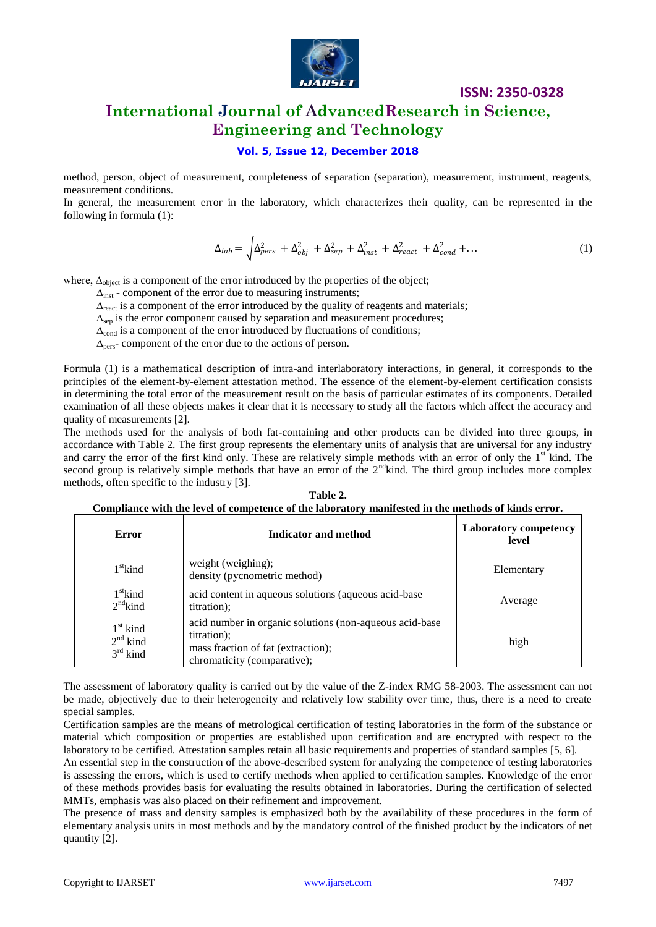

# **International Journal of AdvancedResearch in Science, Engineering and Technology**

### **Vol. 5, Issue 12, December 2018**

method, person, object of measurement, completeness of separation (separation), measurement, instrument, reagents, measurement conditions.

In general, the measurement error in the laboratory, which characterizes their quality, can be represented in the following in formula (1):

$$
\Delta_{lab} = \sqrt{\Delta_{pers}^2 + \Delta_{obj}^2 + \Delta_{sep}^2 + \Delta_{inst}^2 + \Delta_{react}^2 + \Delta_{cond}^2 + \dots}
$$
 (1)

where,  $\Delta_{object}$  is a component of the error introduced by the properties of the object;

 $\Delta_{\text{inst}}$  - component of the error due to measuring instruments;

 $\Delta_{\text{react}}$  is a component of the error introduced by the quality of reagents and materials;

 $\Delta_{\text{sep}}$  is the error component caused by separation and measurement procedures;

 $\Delta_{\text{cond}}$  is a component of the error introduced by fluctuations of conditions;

 $\Delta_{\text{ners}}$ - component of the error due to the actions of person.

Formula (1) is a mathematical description of intra-and interlaboratory interactions, in general, it corresponds to the principles of the element-by-element attestation method. The essence of the element-by-element certification consists in determining the total error of the measurement result on the basis of particular estimates of its components. Detailed examination of all these objects makes it clear that it is necessary to study all the factors which affect the accuracy and quality of measurements [2].

The methods used for the analysis of both fat-containing and other products can be divided into three groups, in accordance with Table 2. The first group represents the elementary units of analysis that are universal for any industry and carry the error of the first kind only. These are relatively simple methods with an error of only the  $1<sup>st</sup>$  kind. The second group is relatively simple methods that have an error of the  $2<sup>nd</sup>$ kind. The third group includes more complex methods, often specific to the industry [3]. **Table 2.**

| Compliance with the level of competence of the laboratory manifested in the methods of kinds error. |  |
|-----------------------------------------------------------------------------------------------------|--|

| Error                                  | Indicator and method                                                                                                                        | <b>Laboratory competency</b><br>level |
|----------------------------------------|---------------------------------------------------------------------------------------------------------------------------------------------|---------------------------------------|
| $1st$ kind                             | weight (weighing);<br>density (pycnometric method)                                                                                          | Elementary                            |
| $1st$ kind<br>$2nd$ kind               | acid content in aqueous solutions (aqueous acid-base<br>titration);                                                                         | Average                               |
| $1st$ kind<br>$2nd$ kind<br>$3rd$ kind | acid number in organic solutions (non-aqueous acid-base<br>titration);<br>mass fraction of fat (extraction);<br>chromaticity (comparative); | high                                  |

The assessment of laboratory quality is carried out by the value of the Z-index RMG 58-2003. The assessment can not be made, objectively due to their heterogeneity and relatively low stability over time, thus, there is a need to create special samples.

Certification samples are the means of metrological certification of testing laboratories in the form of the substance or material which composition or properties are established upon certification and are encrypted with respect to the laboratory to be certified. Attestation samples retain all basic requirements and properties of standard samples [5, 6].

An essential step in the construction of the above-described system for analyzing the competence of testing laboratories is assessing the errors, which is used to certify methods when applied to certification samples. Knowledge of the error of these methods provides basis for evaluating the results obtained in laboratories. During the certification of selected MMTs, emphasis was also placed on their refinement and improvement.

The presence of mass and density samples is emphasized both by the availability of these procedures in the form of elementary analysis units in most methods and by the mandatory control of the finished product by the indicators of net quantity [2].